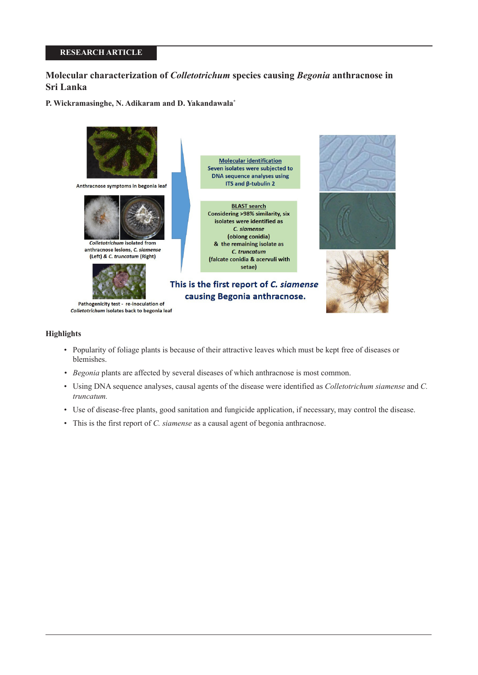# **RESEARCH ARTICLE**

# **Molecular characterization of** *Colletotrichum* **species causing** *Begonia* **anthracnose in Sri Lanka**

**P. Wickramasinghe, N. Adikaram and D. Yakandawala\***



## **Highlights**

- Popularity of foliage plants is because of their attractive leaves which must be kept free of diseases or blemishes.
- *Begonia* plants are affected by several diseases of which anthracnose is most common.
- Using DNA sequence analyses, causal agents of the disease were identified as *Colletotrichum siamense* and *C. truncatum.*
- Use of disease-free plants, good sanitation and fungicide application, if necessary, may control the disease.
- This is the first report of *C. siamense* as a causal agent of begonia anthracnose.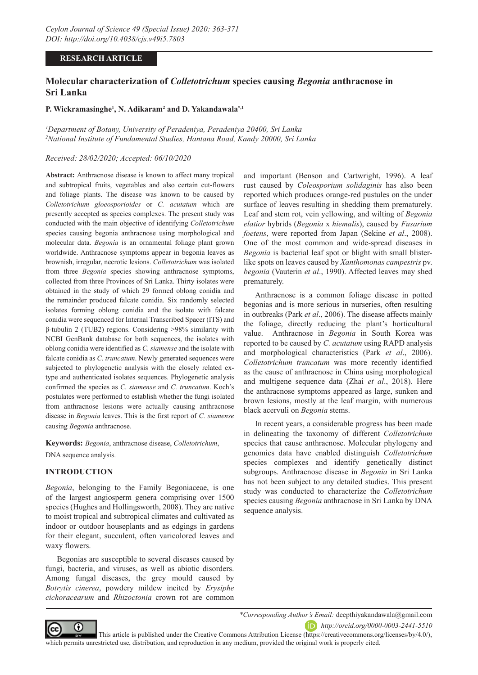# **RESEARCH ARTICLE**

# **Molecular characterization of** *Colletotrichum* **species causing** *Begonia* **anthracnose in Sri Lanka**

# **P. Wickramasinghe1 , N. Adikaram2 and D. Yakandawala\*,1**

*1 Department of Botany, University of Peradeniya, Peradeniya 20400, Sri Lanka 2 National Institute of Fundamental Studies, Hantana Road, Kandy 20000, Sri Lanka*

## *Received: 28/02/2020; Accepted: 06/10/2020*

**Abstract:** Anthracnose disease is known to affect many tropical and subtropical fruits, vegetables and also certain cut-flowers and foliage plants. The disease was known to be caused by *Colletotrichum gloeosporioides* or *C. acutatum* which are presently accepted as species complexes. The present study was conducted with the main objective of identifying *Colletotrichum*  species causing begonia anthracnose using morphological and molecular data. *Begonia* is an ornamental foliage plant grown worldwide. Anthracnose symptoms appear in begonia leaves as brownish, irregular, necrotic lesions. *Colletotrichum* was isolated from three *Begonia* species showing anthracnose symptoms, collected from three Provinces of Sri Lanka. Thirty isolates were obtained in the study of which 29 formed oblong conidia and the remainder produced falcate conidia. Six randomly selected isolates forming oblong conidia and the isolate with falcate conidia were sequenced for Internal Transcribed Spacer (ITS) and β-tubulin 2 (TUB2) regions. Considering >98% similarity with NCBI GenBank database for both sequences, the isolates with oblong conidia were identified as *C. siamense* and the isolate with falcate conidia as *C. truncatum*. Newly generated sequences were subjected to phylogenetic analysis with the closely related extype and authenticated isolates sequences. Phylogenetic analysis confirmed the species as *C. siamense* and *C. truncatum*. Koch's postulates were performed to establish whether the fungi isolated from anthracnose lesions were actually causing anthracnose disease in *Begonia* leaves. This is the first report of *C. siamense* causing *Begonia* anthracnose.

**Keywords:** *Begonia*, anthracnose disease, *Colletotrichum*, DNA sequence analysis.

# **INTRODUCTION**

*Begonia*, belonging to the Family Begoniaceae, is one of the largest angiosperm genera comprising over 1500 species (Hughes and Hollingsworth, 2008). They are native to moist tropical and subtropical climates and cultivated as indoor or outdoor houseplants and as edgings in gardens for their elegant, succulent, often varicolored leaves and waxy flowers.

Begonias are susceptible to several diseases caused by fungi, bacteria, and viruses, as well as abiotic disorders. Among fungal diseases, the grey mould caused by *Botrytis cinerea*, powdery mildew incited by *Erysiphe cichoracearum* and *Rhizoctonia* crown rot are common

and important (Benson and Cartwright, 1996). A leaf rust caused by *Coleosporium solidaginis* has also been reported which produces orange-red pustules on the under surface of leaves resulting in shedding them prematurely. Leaf and stem rot, vein yellowing, and wilting of *Begonia elatior* hybrids (*Begonia* x *hiemalis*), caused by *Fusarium foetens*, were reported from Japan (Sekine *et al*., 2008). One of the most common and wide-spread diseases in *Begonia* is bacterial leaf spot or blight with small blisterlike spots on leaves caused by *Xanthomonas campestris* pv. *begonia* (Vauterin *et al*., 1990). Affected leaves may shed prematurely.

Anthracnose is a common foliage disease in potted begonias and is more serious in nurseries, often resulting in outbreaks (Park *et al*., 2006). The disease affects mainly the foliage, directly reducing the plant's horticultural value. Anthracnose in *Begonia* in South Korea was reported to be caused by *C. acutatum* using RAPD analysis and morphological characteristics (Park *et al*., 2006). *Colletotrichum truncatum* was more recently identified as the cause of anthracnose in China using morphological and multigene sequence data (Zhai *et al*., 2018). Here the anthracnose symptoms appeared as large, sunken and brown lesions, mostly at the leaf margin, with numerous black acervuli on *Begonia* stems.

In recent years, a considerable progress has been made in delineating the taxonomy of different *Colletotrichum* species that cause anthracnose. Molecular phylogeny and genomics data have enabled distinguish *Colletotrichum* species complexes and identify genetically distinct subgroups. Anthracnose disease in *Begonia* in Sri Lanka has not been subject to any detailed studies. This present study was conducted to characterize the *Colletotrichum*  species causing *Begonia* anthracnose in Sri Lanka by DNA sequence analysis.



*\*Corresponding Author's Email:* deepthiyakandawala@gmail.com

*http://orcid.org/0000-0003-2441-5510*

This article is published under the Creative Commons Attribution License (https://creativecommons.org/licenses/by/4.0/), which permits unrestricted use, distribution, and reproduction in any medium, provided the original work is properly cited.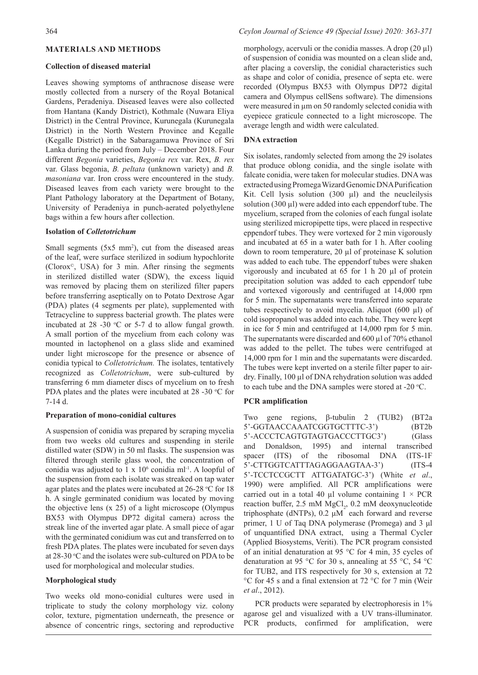## **MATERIALS AND METHODS**

#### **Collection of diseased material**

Leaves showing symptoms of anthracnose disease were mostly collected from a nursery of the Royal Botanical Gardens, Peradeniya. Diseased leaves were also collected from Hantana (Kandy District), Kothmale (Nuwara Eliya District) in the Central Province, Kurunegala (Kurunegala District) in the North Western Province and Kegalle (Kegalle District) in the Sabaragamuwa Province of Sri Lanka during the period from July – December 2018. Four different *Begonia* varieties, *Begonia rex* var. Rex, *B. rex* var. Glass begonia, *B. peltata* (unknown variety) and *B. masoniana* var. Iron cross were encountered in the study. Diseased leaves from each variety were brought to the Plant Pathology laboratory at the Department of Botany, University of Peradeniya in punch-aerated polyethylene bags within a few hours after collection.

## **Isolation of** *Colletotrichum*

Small segments  $(5x5 \text{ mm}^2)$ , cut from the diseased areas of the leaf, were surface sterilized in sodium hypochlorite (Clorox©, USA) for 3 min. After rinsing the segments in sterilized distilled water (SDW), the excess liquid was removed by placing them on sterilized filter papers before transferring aseptically on to Potato Dextrose Agar (PDA) plates (4 segments per plate), supplemented with Tetracycline to suppress bacterial growth. The plates were incubated at  $28 - 30$  °C or 5-7 d to allow fungal growth. A small portion of the mycelium from each colony was mounted in lactophenol on a glass slide and examined under light microscope for the presence or absence of conidia typical to *Colletotrichum.* The isolates, tentatively recognized as *Colletotrichum*, were sub-cultured by transferring 6 mm diameter discs of mycelium on to fresh PDA plates and the plates were incubated at  $28 - 30$  °C for 7-14 d.

#### **Preparation of mono-conidial cultures**

A suspension of conidia was prepared by scraping mycelia from two weeks old cultures and suspending in sterile distilled water (SDW) in 50 ml flasks. The suspension was filtered through sterile glass wool, the concentration of conidia was adjusted to  $1 \times 10^6$  conidia ml<sup>-1</sup>. A loopful of the suspension from each isolate was streaked on tap water agar plates and the plates were incubated at  $26-28$  °C for 18 h. A single germinated conidium was located by moving the objective lens  $(x 25)$  of a light microscope (Olympus BX53 with Olympus DP72 digital camera) across the streak line of the inverted agar plate. A small piece of agar with the germinated conidium was cut and transferred on to fresh PDA plates. The plates were incubated for seven days at 28-30 °C and the isolates were sub-cultured on PDA to be used for morphological and molecular studies.

#### **Morphological study**

Two weeks old mono-conidial cultures were used in triplicate to study the colony morphology viz. colony color, texture, pigmentation underneath, the presence or absence of concentric rings, sectoring and reproductive

morphology, acervuli or the conidia masses. A drop (20 µl) of suspension of conidia was mounted on a clean slide and, after placing a coverslip, the conidial characteristics such as shape and color of conidia, presence of septa etc. were recorded (Olympus BX53 with Olympus DP72 digital camera and Olympus cellSens software). The dimensions were measured in  $\mu$ m on 50 randomly selected conidia with eyepiece graticule connected to a light microscope. The average length and width were calculated.

#### **DNA extraction**

Six isolates, randomly selected from among the 29 isolates that produce oblong conidia, and the single isolate with falcate conidia, were taken for molecular studies. DNA was extracted using Promega Wizard Genomic DNA Purification Kit. Cell lysis solution  $(300 \mu l)$  and the neucleilysis solution (300 µl) were added into each eppendorf tube. The mycelium, scraped from the colonies of each fungal isolate using sterilized micropipette tips, were placed in respective eppendorf tubes. They were vortexed for 2 min vigorously and incubated at 65 in a water bath for 1 h. After cooling down to room temperature, 20 µl of proteinase K solution was added to each tube. The eppendorf tubes were shaken vigorously and incubated at 65 for 1 h 20 µl of protein precipitation solution was added to each eppendorf tube and vortexed vigorously and centrifuged at 14,000 rpm for 5 min. The supernatants were transferred into separate tubes respectively to avoid mycelia. Aliquot (600 µl) of cold isopropanol was added into each tube. They were kept in ice for 5 min and centrifuged at 14,000 rpm for 5 min. The supernatants were discarded and 600 µl of 70% ethanol was added to the pellet. The tubes were centrifuged at 14,000 rpm for 1 min and the supernatants were discarded. The tubes were kept inverted on a sterile filter paper to airdry. Finally, 100 µl of DNA rehydration solution was added to each tube and the DNA samples were stored at -20  $^{\circ}$ C.

### **PCR amplification**

Two gene regions, β-tubulin 2 (TUB2) (BT2a 5'-GGTAACCAAATCGGTGCTTTC-3') (BT2b 5'-ACCCTCAGTGTAGTGACCCTTGC3') (Glass and Donaldson, 1995) and internal transcribed spacer (ITS) of the ribosomal DNA (ITS-1F 5'-CTTGGTCATTTAGAGGAAGTAA-3') (ITS-4 5'-TCCTCCGCTT ATTGATATGC-3') (White *et al*., 1990) were amplified. All PCR amplifications were carried out in a total 40 µl volume containing  $1 \times PCR$ reaction buffer, 2.5 mM MgCl<sub>2</sub>, 0.2 mM deoxynucleotide triphosphate (dNTPs), 0.2 μM each forward and reverse primer, 1 U of Taq DNA polymerase (Promega) and 3 μl of unquantified DNA extract, using a Thermal Cycler (Applied Biosystems, Veriti). The PCR program consisted of an initial denaturation at 95 °C for 4 min, 35 cycles of denaturation at 95 °C for 30 s, annealing at 55 °C, 54 °C for TUB2, and ITS respectively for 30 s, extension at 72 °C for 45 s and a final extension at 72 °C for 7 min (Weir *et al*., 2012).

PCR products were separated by electrophoresis in  $1\%$ agarose gel and visualized with a UV trans-illuminator. PCR products, confirmed for amplification, were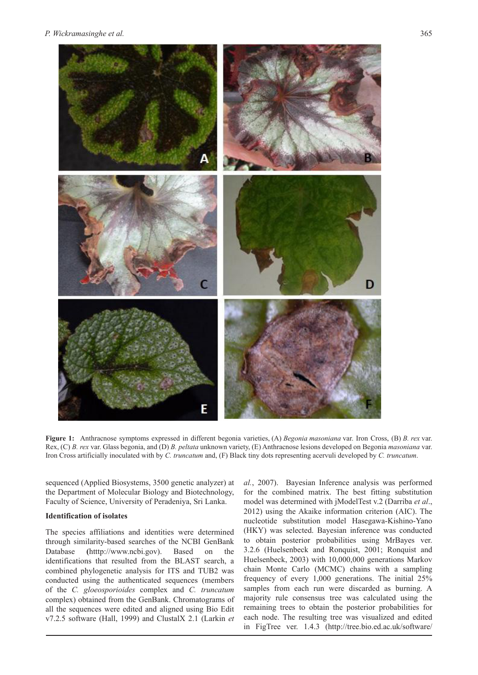

**Figure 1:** Anthracnose symptoms expressed in different begonia varieties, (A) *Begonia masoniana* var. Iron Cross, (B) *B. rex* var. Rex, (C) *B. rex* var. Glass begonia, and (D) *B. peltata* unknown variety, (E) Anthracnose lesions developed on Begonia *masoniana* var. Iron Cross artificially inoculated with by *C. truncatum* and, (F) Black tiny dots representing acervuli developed by *C. truncatum*.

sequenced (Applied Biosystems, 3500 genetic analyzer) at the Department of Molecular Biology and Biotechnology, Faculty of Science, University of Peradeniya, Sri Lanka.

### **Identification of isolates**

The species affiliations and identities were determined through similarity-based searches of the NCBI GenBank Database **(**htttp://www.ncbi.gov). Based on the identifications that resulted from the BLAST search, a combined phylogenetic analysis for ITS and TUB2 was conducted using the authenticated sequences (members of the *C. gloeosporioides* complex and *C. truncatum* complex) obtained from the GenBank. Chromatograms of all the sequences were edited and aligned using Bio Edit v7.2.5 software (Hall, 1999) and ClustalX 2.1 (Larkin *et* 

*al.*, 2007). Bayesian Inference analysis was performed for the combined matrix. The best fitting substitution model was determined with jModelTest v.2 (Darriba *et al*., 2012) using the Akaike information criterion (AIC). The nucleotide substitution model Hasegawa-Kishino-Yano (HKY) was selected. Bayesian inference was conducted to obtain posterior probabilities using MrBayes ver. 3.2.6 (Huelsenbeck and Ronquist, 2001; Ronquist and Huelsenbeck, 2003) with 10,000,000 generations Markov chain Monte Carlo (MCMC) chains with a sampling frequency of every 1,000 generations. The initial 25% samples from each run were discarded as burning. A majority rule consensus tree was calculated using the remaining trees to obtain the posterior probabilities for each node. The resulting tree was visualized and edited in FigTree ver. 1.4.3 (http://tree.bio.ed.ac.uk/software/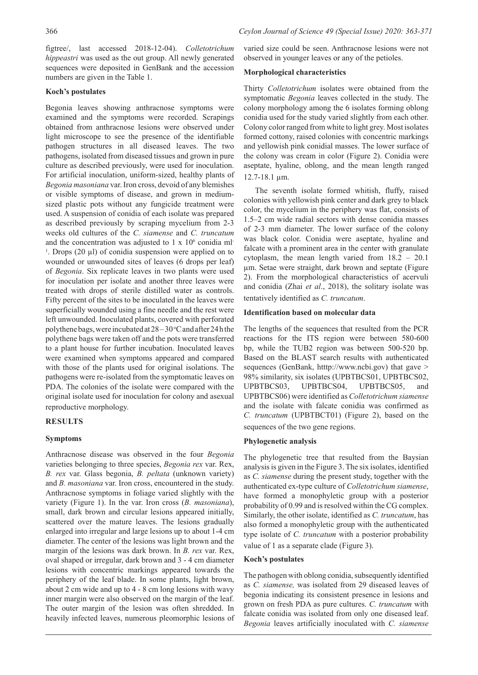figtree/, last accessed 2018-12-04). *Colletotrichum hippeastri* was used as the out group. All newly generated sequences were deposited in GenBank and the accession numbers are given in the Table 1.

# **Koch's postulates**

Begonia leaves showing anthracnose symptoms were examined and the symptoms were recorded. Scrapings obtained from anthracnose lesions were observed under light microscope to see the presence of the identifiable pathogen structures in all diseased leaves. The two pathogens, isolated from diseased tissues and grown in pure culture as described previously, were used for inoculation. For artificial inoculation, uniform-sized, healthy plants of *Begonia masoniana* var. Iron cross, devoid of any blemishes or visible symptoms of disease, and grown in mediumsized plastic pots without any fungicide treatment were used. A suspension of conidia of each isolate was prepared as described previously by scraping mycelium from 2-3 weeks old cultures of the *C. siamense* and *C. truncatum*  and the concentration was adjusted to  $1 \times 10^6$  conidia ml <sup>1</sup>. Drops (20  $\mu$ I) of conidia suspension were applied on to wounded or unwounded sites of leaves (6 drops per leaf) of *Begonia*. Six replicate leaves in two plants were used for inoculation per isolate and another three leaves were treated with drops of sterile distilled water as controls. Fifty percent of the sites to be inoculated in the leaves were superficially wounded using a fine needle and the rest were left unwounded. Inoculated plants, covered with perforated polythene bags, were incubated at  $28-30$  °C and after 24 h the polythene bags were taken off and the pots were transferred to a plant house for further incubation. Inoculated leaves were examined when symptoms appeared and compared with those of the plants used for original isolations. The pathogens were re-isolated from the symptomatic leaves on PDA. The colonies of the isolate were compared with the original isolate used for inoculation for colony and asexual reproductive morphology.

# **RESULTS**

# **Symptoms**

Anthracnose disease was observed in the four *Begonia* varieties belonging to three species, *Begonia rex* var. Rex, *B. rex* var. Glass begonia, *B. peltata* (unknown variety) and *B. masoniana* var. Iron cross, encountered in the study. Anthracnose symptoms in foliage varied slightly with the variety (Figure 1). In the var. Iron cross (*B. masoniana*), small, dark brown and circular lesions appeared initially, scattered over the mature leaves. The lesions gradually enlarged into irregular and large lesions up to about 1-4 cm diameter. The center of the lesions was light brown and the margin of the lesions was dark brown. In *B. rex* var. Rex, oval shaped or irregular, dark brown and 3 - 4 cm diameter lesions with concentric markings appeared towards the periphery of the leaf blade. In some plants, light brown, about 2 cm wide and up to 4 - 8 cm long lesions with wavy inner margin were also observed on the margin of the leaf. The outer margin of the lesion was often shredded. In heavily infected leaves, numerous pleomorphic lesions of varied size could be seen. Anthracnose lesions were not observed in younger leaves or any of the petioles.

# **Morphological characteristics**

Thirty *Colletotrichum* isolates were obtained from the symptomatic *Begonia* leaves collected in the study. The colony morphology among the 6 isolates forming oblong conidia used for the study varied slightly from each other. Colony color ranged from white to light grey. Most isolates formed cottony, raised colonies with concentric markings and yellowish pink conidial masses. The lower surface of the colony was cream in color (Figure 2). Conidia were aseptate, hyaline, oblong, and the mean length ranged 12.7-18.1 µm.

The seventh isolate formed whitish, fluffy, raised colonies with yellowish pink center and dark grey to black color, the mycelium in the periphery was flat, consists of 1.5–2 cm wide radial sectors with dense conidia masses of 2-3 mm diameter. The lower surface of the colony was black color. Conidia were aseptate, hyaline and falcate with a prominent area in the center with granulate cytoplasm, the mean length varied from 18.2 – 20.1 µm. Setae were straight, dark brown and septate (Figure 2). From the morphological characteristics of acervuli and conidia (Zhai *et al*., 2018), the solitary isolate was tentatively identified as *C. truncatum*.

# **Identification based on molecular data**

The lengths of the sequences that resulted from the PCR reactions for the ITS region were between 580-600 bp, while the TUB2 region was between 500-520 bp. Based on the BLAST search results with authenticated sequences (GenBank, htttp://www.ncbi.gov) that gave > 98% similarity, six isolates (UPBTBCS01, UPBTBCS02, UPBTBCS03, UPBTBCS04, UPBTBCS05, and UPBTBCS06) were identified as *Colletotrichum siamense* and the isolate with falcate conidia was confirmed as *C. truncatum* (UPBTBCT01) (Figure 2), based on the sequences of the two gene regions.

# **Phylogenetic analysis**

The phylogenetic tree that resulted from the Baysian analysis is given in the Figure 3. The six isolates, identified as *C. siamense* during the present study, together with the authenticated ex-type culture of *Colletotrichum siamense*, have formed a monophyletic group with a posterior probability of 0.99 and is resolved within the CG complex. Similarly, the other isolate, identified as *C. truncatum*, has also formed a monophyletic group with the authenticated type isolate of *C. truncatum* with a posterior probability value of 1 as a separate clade (Figure 3).

# **Koch's postulates**

The pathogen with oblong conidia, subsequently identified as *C. siamense,* was isolated from 29 diseased leaves of begonia indicating its consistent presence in lesions and grown on fresh PDA as pure cultures. *C. truncatum* with falcate conidia was isolated from only one diseased leaf. *Begonia* leaves artificially inoculated with *C. siamense*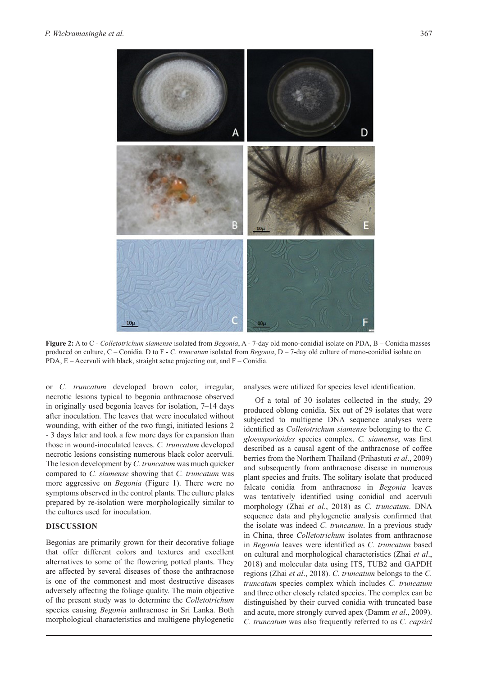

**Figure 2:** A to C - *Colletotrichum siamense* isolated from *Begonia*, A - 7-day old mono-conidial isolate on PDA, B – Conidia masses produced on culture, C – Conidia. D to F - *C*. *truncatum* isolated from *Begonia*, D – 7-day old culture of mono-conidial isolate on PDA, E – Acervuli with black, straight setae projecting out, and F – Conidia.

or *C. truncatum* developed brown color, irregular, necrotic lesions typical to begonia anthracnose observed in originally used begonia leaves for isolation, 7–14 days after inoculation. The leaves that were inoculated without wounding, with either of the two fungi, initiated lesions 2 - 3 days later and took a few more days for expansion than those in wound-inoculated leaves. *C. truncatum* developed necrotic lesions consisting numerous black color acervuli. The lesion development by *C. truncatum* was much quicker compared to *C. siamense* showing that *C. truncatum* was more aggressive on *Begonia* (Figure 1). There were no symptoms observed in the control plants. The culture plates prepared by re-isolation were morphologically similar to the cultures used for inoculation.

### **DISCUSSION**

Begonias are primarily grown for their decorative foliage that offer different colors and textures and excellent alternatives to some of the flowering potted plants. They are affected by several diseases of those the anthracnose is one of the commonest and most destructive diseases adversely affecting the foliage quality. The main objective of the present study was to determine the *Colletotrichum* species causing *Begonia* anthracnose in Sri Lanka. Both morphological characteristics and multigene phylogenetic

analyses were utilized for species level identification.

Of a total of 30 isolates collected in the study, 29 produced oblong conidia. Six out of 29 isolates that were subjected to multigene DNA sequence analyses were identified as *Colletotrichum siamense* belonging to the *C. gloeosporioides* species complex. *C. siamense*, was first described as a causal agent of the anthracnose of coffee berries from the Northern Thailand (Prihastuti *et al*., 2009) and subsequently from anthracnose disease in numerous plant species and fruits. The solitary isolate that produced falcate conidia from anthracnose in *Begonia* leaves was tentatively identified using conidial and acervuli morphology (Zhai *et al*., 2018) as *C. truncatum*. DNA sequence data and phylogenetic analysis confirmed that the isolate was indeed *C. truncatum*. In a previous study in China, three *Colletotrichum* isolates from anthracnose in *Begonia* leaves were identified as *C. truncatum* based on cultural and morphological characteristics (Zhai *et al*., 2018) and molecular data using ITS, TUB2 and GAPDH regions (Zhai *et al*., 2018). *C. truncatum* belongs to the *C. truncatum* species complex which includes *C. truncatum* and three other closely related species. The complex can be distinguished by their curved conidia with truncated base and acute, more strongly curved apex (Damm *et al*., 2009). *C. truncatum* was also frequently referred to as *C. capsici*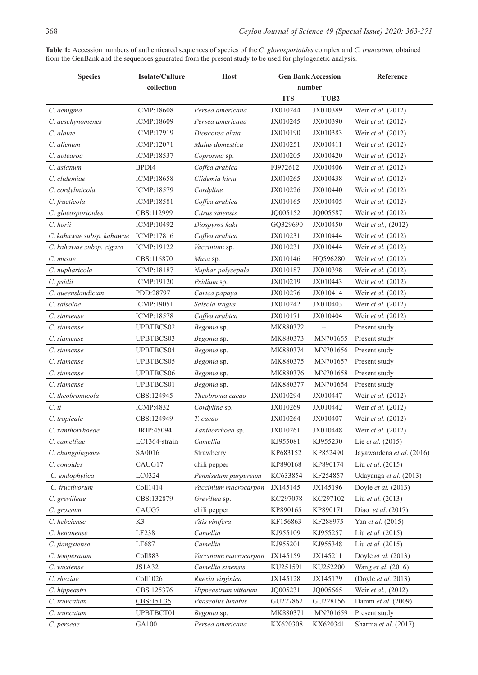| <b>Species</b>            | Isolate/Culture   | <b>Host</b>           | <b>Gen Bank Accession</b> |                  | Reference                 |
|---------------------------|-------------------|-----------------------|---------------------------|------------------|---------------------------|
|                           | collection        |                       | number                    |                  |                           |
|                           |                   |                       | <b>ITS</b>                | TUB <sub>2</sub> |                           |
| C. aenigma                | <b>ICMP:18608</b> | Persea americana      | JX010244                  | JX010389         | Weir et al. (2012)        |
| C. aeschynomenes          | ICMP:18609        | Persea americana      | JX010245                  | JX010390         | Weir et al. (2012)        |
| C. alatae                 | ICMP:17919        | Dioscorea alata       | JX010190                  | JX010383         | Weir et al. (2012)        |
| C. alienum                | ICMP:12071        | Malus domestica       | JX010251                  | JX010411         | Weir et al. (2012)        |
| C. aotearoa               | ICMP:18537        | Coprosma sp.          | JX010205                  | JX010420         | Weir et al. (2012)        |
| C. asianum                | BPDI4             | Coffea arabica        | FJ972612                  | JX010406         | Weir et al. (2012)        |
| C. clidemiae              | ICMP:18658        | Clidemia hirta        | JX010265                  | JX010438         | Weir et al. (2012)        |
| C. cordylinicola          | ICMP:18579        | Cordyline             | JX010226                  | JX010440         | Weir et al. (2012)        |
| C. fructicola             | ICMP:18581        | Coffea arabica        | JX010165                  | JX010405         | Weir et al. (2012)        |
| C. gloeosporioides        | CBS:112999        | Citrus sinensis       | JQ005152                  | JQ005587         | Weir et al. (2012)        |
| C. horii                  | ICMP:10492        | Diospyros kaki        | GQ329690                  | JX010450         | Weir et al., (2012)       |
| C. kahawae subsp. kahawae | ICMP:17816        | Coffea arabica        | JX010231                  | JX010444         | Weir et al. (2012)        |
| C. kahawae subsp. cigaro  | ICMP:19122        | Vaccinium sp.         | JX010231                  | JX010444         | Weir et al. (2012)        |
| C. musae                  | CBS:116870        | Musa sp.              | JX010146                  | HQ596280         | Weir et al. (2012)        |
| C. nupharicola            | ICMP:18187        | Nuphar polysepala     | JX010187                  | JX010398         | Weir et al. (2012)        |
| C. psidii                 | ICMP:19120        | Psidium sp.           | JX010219                  | JX010443         | Weir et al. (2012)        |
| C. queenslandicum         | PDD:28797         | Carica papaya         | JX010276                  | JX010414         | Weir et al. (2012)        |
| C. salsolae               | ICMP:19051        | Salsola tragus        | JX010242                  | JX010403         | Weir et al. (2012)        |
| C. siamense               | ICMP:18578        | Coffea arabica        | JX010171                  | JX010404         | Weir et al. (2012)        |
| C. siamense               | UPBTBCS02         | Begonia sp.           | MK880372                  | $\overline{a}$   | Present study             |
| C. siamense               | UPBTBCS03         | Begonia sp.           | MK880373                  | MN701655         | Present study             |
| C. siamense               | UPBTBCS04         | Begonia sp.           | MK880374                  | MN701656         | Present study             |
| C. siamense               | UPBTBCS05         | Begonia sp.           | MK880375                  | MN701657         | Present study             |
| C. siamense               | UPBTBCS06         | Begonia sp.           | MK880376                  | MN701658         | Present study             |
| C. siamense               | UPBTBCS01         | Begonia sp.           | MK880377                  | MN701654         | Present study             |
| C. theobromicola          | CBS:124945        | Theobroma cacao       | JX010294                  | JX010447         | Weir et al. (2012)        |
| $C.$ ti                   | <b>ICMP:4832</b>  | Cordyline sp.         | JX010269                  | JX010442         | Weir et al. (2012)        |
| C. tropicale              | CBS:124949        | T. cacao              | JX010264                  | JX010407         | Weir et al. (2012)        |
| C. xanthorrhoeae          | BRIP:45094        | Xanthorrhoea sp.      | JX010261                  | JX010448         | Weir et al. (2012)        |
| C. camelliae              | LC1364-strain     | Camellia              | KJ955081                  | KJ955230         | Lie <i>et al.</i> (2015)  |
| C. changpingense          | SA0016            | Strawberry            | KP683152                  | KP852490         | Jayawardena et al. (2016) |
| C. conoides               | CAUG17            | chili pepper          | KP890168                  | KP890174         | Liu et al. (2015)         |
| C. endophytica            | LC0324            | Pennisetum purpureum  | KC633854                  | KF254857         | Udayanga et al. (2013)    |
| C. fructivorum            | Coll1414          | Vaccinium macrocarpon | JX145145                  | JX145196         | Doyle et al. (2013)       |
| C. grevilleae             | CBS:132879        | Grevillea sp.         | KC297078                  | KC297102         | Liu et al. (2013)         |
| C. grossum                | CAUG7             | chili pepper          | KP890165                  | KP890171         | Diao et al. (2017)        |
| C. hebeiense              | K3                | Vitis vinifera        | KF156863                  | KF288975         | Yan et al. (2015)         |
| C. henanense              | LF238             | Camellia              | KJ955109                  | KJ955257         | Liu et al. (2015)         |
| C. jiangxiense            | LF687             | Camellia              | KJ955201                  | KJ955348         | Liu et al. (2015)         |
| C. temperatum             | Coll883           | Vaccinium macrocarpon | JX145159                  | JX145211         | Doyle et al. (2013)       |
| C. wuxiense               | JS1A32            | Camellia sinensis     | KU251591                  | KU252200         | Wang et al. (2016)        |
| C. rhexiae                | Coll1026          | Rhexia virginica      | JX145128                  | JX145179         | (Doyle et al. 2013)       |
| C. hippeastri             | CBS 125376        | Hippeastrum vittatum  | JQ005231                  | JQ005665         | Weir et al., (2012)       |
| C. truncatum              | CBS:151.35        | Phaseolus lunatus     | GU227862                  | GU228156         | Damm et al. (2009)        |
| C. truncatum              | UPBTBCT01         | Begonia sp.           | MK880371                  | MN701659         | Present study             |
| C. perseae                | GA100             | Persea americana      | KX620308                  | KX620341         | Sharma et al. (2017)      |

**Table 1:** Accession numbers of authenticated sequences of species of the *C. gloeosporioides* complex and *C. truncatum,* obtained from the GenBank and the sequences generated from the present study to be used for phylogenetic analysis.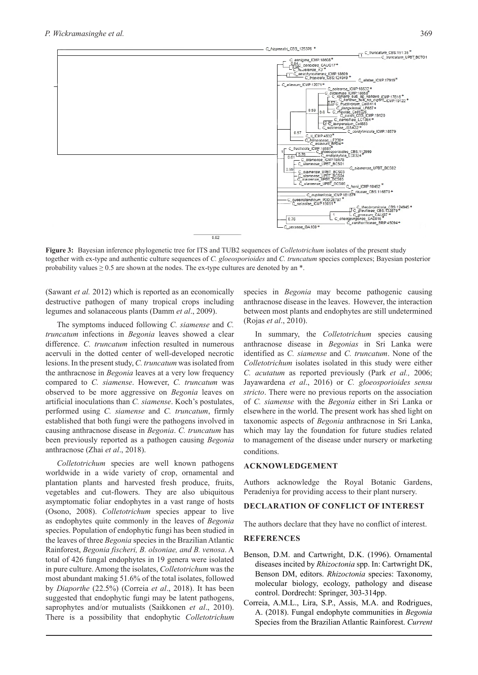

**Figure 3:** Bayesian inference phylogenetic tree for ITS and TUB2 sequences of *Colletotrichum* isolates of the present study together with ex-type and authentic culture sequences of *C. gloeosporioides* and *C. truncatum* species complexes; Bayesian posterior probability values  $\geq 0.5$  are shown at the nodes. The ex-type cultures are denoted by an  $*$ .

(Sawant *et al.* 2012) which is reported as an economically destructive pathogen of many tropical crops including legumes and solanaceous plants (Damm *et al*., 2009).

The symptoms induced following *C. siamense* and *C. truncatum* infections in *Begonia* leaves showed a clear difference. *C. truncatum* infection resulted in numerous acervuli in the dotted center of well-developed necrotic lesions. In the present study, *C. truncatum* was isolated from the anthracnose in *Begonia* leaves at a very low frequency compared to *C. siamense*. However, *C. truncatum* was observed to be more aggressive on *Begonia* leaves on artificial inoculations than *C. siamense*. Koch's postulates, performed using *C. siamense* and *C. truncatum*, firmly established that both fungi were the pathogens involved in causing anthracnose disease in *Begonia*. *C. truncatum* has been previously reported as a pathogen causing *Begonia* anthracnose (Zhai *et al*., 2018).

*Colletotrichum* species are well known pathogens worldwide in a wide variety of crop, ornamental and plantation plants and harvested fresh produce, fruits, vegetables and cut-flowers. They are also ubiquitous asymptomatic foliar endophytes in a vast range of hosts (Osono, 2008). *Colletotrichum* species appear to live as endophytes quite commonly in the leaves of *Begonia* species. Population of endophytic fungi has been studied in the leaves of three *Begonia* species in the Brazilian Atlantic Rainforest, *Begonia fischeri, B. olsoniae, and B. venosa*. A total of 426 fungal endophytes in 19 genera were isolated in pure culture. Among the isolates, *Colletotrichum* was the most abundant making 51.6% of the total isolates, followed by *Diaporthe* (22.5%) (Correia *et al*., 2018). It has been suggested that endophytic fungi may be latent pathogens, saprophytes and/or mutualists (Saikkonen *et al*., 2010). There is a possibility that endophytic *Colletotrichum*

species in *Begonia* may become pathogenic causing anthracnose disease in the leaves. However, the interaction between most plants and endophytes are still undetermined (Rojas *et al*., 2010).

In summary, the *Colletotrichum* species causing anthracnose disease in *Begonias* in Sri Lanka were identified as *C. siamense* and *C. truncatum*. None of the *Colletotrichum* isolates isolated in this study were either *C. acutatum* as reported previously (Park *et al.,* 2006; Jayawardena *et al*., 2016) or *C. gloeosporioides sensu stricto*. There were no previous reports on the association of *C. siamense* with the *Begonia* either in Sri Lanka or elsewhere in the world. The present work has shed light on taxonomic aspects of *Begonia* anthracnose in Sri Lanka, which may lay the foundation for future studies related to management of the disease under nursery or marketing conditions.

#### **ACKNOWLEDGEMENT**

Authors acknowledge the Royal Botanic Gardens, Peradeniya for providing access to their plant nursery.

### **DECLARATION OF CONFLICT OF INTEREST**

The authors declare that they have no conflict of interest.

#### **REFERENCES**

- Benson, D.M. and Cartwright, D.K. (1996). Ornamental diseases incited by *Rhizoctonia* spp. In: Cartwright DK, Benson DM, editors. *Rhizoctonia* species: Taxonomy, molecular biology, ecology, pathology and disease control. Dordrecht: Springer, 303-314pp.
- Correia, A.M.L., Lira, S.P., Assis, M.A. and Rodrigues, A. (2018). Fungal endophyte communities in *Begonia* Species from the Brazilian Atlantic Rainforest. *Current*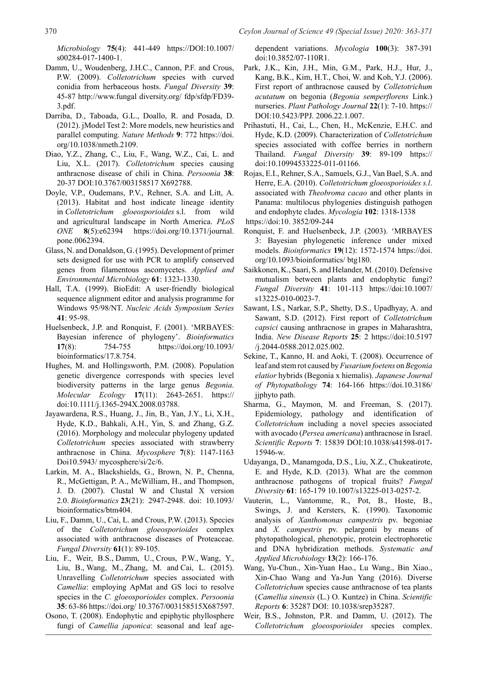*Microbiology* **75**(4): 441-449 https://DOI:10.1007/ s00284-017-1400-1.

- Damm, U., Woudenberg, J.H.C., Cannon, P.F. and Crous, P.W. (2009). *Colletotrichum* species with curved conidia from herbaceous hosts. *Fungal Diversity* **39**: 45-87 http://www.fungal diversity.org/ fdp/sfdp/FD39- 3.pdf.
- Darriba, D., Taboada, G.L., Doallo, R. and Posada, D. (2012). jModel Test 2: More models, new heuristics and parallel computing. *Nature Methods* **9**: 772 https://doi. org/10.1038/nmeth.2109.
- Diao, Y.Z., Zhang, C., Liu, F., Wang, W.Z., Cai, L. and Liu, X.L. (2017). *Colletotrichum* species causing anthracnose disease of chili in China. *Persoonia* **38**: 20-37 DOI:10.3767/003158517 X692788.
- Doyle, V.P., Oudemans, P.V., Rehner, S.A. and Litt, A. (2013). Habitat and host indicate lineage identity in *Colletotrichum gloeosporioides* s.l. from wild and agricultural landscape in North America. *PLoS ONE* **8**(5):e62394 https://doi.org/10.1371/journal. pone.0062394.
- Glass, N. and Donaldson, G. (1995). Development of primer sets designed for use with PCR to amplify conserved genes from filamentous ascomycetes. *Applied and Environmental Microbiology* **61**: 1323-1330.
- Hall, T.A. (1999). BioEdit: A user-friendly biological sequence alignment editor and analysis programme for Windows 95/98/NT. *Nucleic Acids Symposium Series* **41**: 95-98.
- Huelsenbeck, J.P. and Ronquist, F. (2001). 'MRBAYES: Bayesian inference of phylogeny'. *Bioinformatics* **17**(8): 754-755 https://doi.org/10.1093/ bioinformatics/17.8.754.
- Hughes, M. and Hollingsworth, P.M. (2008). Population genetic divergence corresponds with species level biodiversity patterns in the large genus *Begonia*. *Molecular Ecology* **17**(11): 2643-2651. https:// doi:10.1111/j.1365-294X.2008.03788.
- Jayawardena, R.S., Huang, J., Jin, B., Yan, J.Y., Li, X.H., Hyde, K.D., Bahkali, A.H., Yin, S. and Zhang, G.Z. (2016). Morphology and molecular phylogeny updated *Colletotrichum* species associated with strawberry anthracnose in China. *Mycosphere* **7**(8): 1147-1163 Doi10.5943/ mycosphere/si/2c/6.
- Larkin, M. A., Blackshields, G., Brown, N. P., Chenna, R., McGettigan, P. A., McWilliam, H., and Thompson, J. D. (2007). Clustal W and Clustal X version 2.0. *Bioinformatics* **23**(21): 2947-2948. doi: 10.1093/ bioinformatics/btm404.
- Liu, F., Damm, U., Cai, L. and Crous, P.W. (2013). Species of the *Colletotrichum gloeosporioides* complex associated with anthracnose diseases of Proteaceae. *Fungal Diversity* **61**(1): 89-105.
- Liu, F., Weir, B.S., Damm, U., Crous, P.W., Wang, Y., Liu, B., Wang, M., Zhang, M. and Cai, L. (2015). Unravelling *Colletotrichum* species associated with *Camellia*: employing ApMat and GS loci to resolve species in the *C. gloeosporioides* complex. *Persoonia* **35**: 63-86 https://doi.org/ 10.3767/003158515X687597.
- Osono, T. (2008). Endophytic and epiphytic phyllosphere fungi of *Camellia japonica*: seasonal and leaf age-

dependent variations. *Mycologia* **100**(3): 387-391 doi:10.3852/07-110R1.

- Park, J.K., Kin, J.H., Min, G.M., Park, H.J., Hur, J., Kang, B.K., Kim, H.T., Choi, W. and Koh, Y.J. (2006). First report of anthracnose caused by *Colletotrichum acutatum* on begonia (*Begonia semperflorens* Link.) nurseries. *Plant Pathology Journal* **22**(1): 7-10. https:// DOI:10.5423/PPJ. 2006.22.1.007.
- Prihastuti, H., Cai, L., Chen, H., McKenzie, E.H.C. and Hyde, K.D. (2009). Characterization of *Colletotrichum* species associated with coffee berries in northern Thailand. *Fungal Diversity* **39**: 89-109 https:// doi:10.10994533225-011-01166.
- Rojas, E.I., Rehner, S.A., Samuels, G.J., Van Bael, S.A. and Herre, E.A. (2010). *Colletotrichum gloeosporioides s.l*. associated with *Theobroma cacao* and other plants in Panama: multilocus phylogenies distinguish pathogen and endophyte clades. *Mycologia* **102**: 1318-1338 https://doi:10. 3852/09-244
- Ronquist, F. and Huelsenbeck, J.P. (2003). 'MRBAYES 3: Bayesian phylogenetic inference under mixed models. *Bioinformatics* **19**(12): 1572-1574 https://doi. org/10.1093/bioinformatics/ btg180.
- Saikkonen, K., Saari, S. and Helander, M. (2010). Defensive mutualism between plants and endophytic fungi? *Fungal Diversity* **41**: 101-113 https://doi:10.1007/ s13225-010-0023-7.
- Sawant, I.S., Narkar, S.P., Shetty, D.S., Upadhyay, A. and Sawant, S.D. (2012). First report of *Colletotrichum capsici* causing anthracnose in grapes in Maharashtra, India. *New Disease Reports* **25**: 2 https://doi:10.5197 /j.2044-0588.2012.025.002.
- Sekine, T., Kanno, H. and Aoki, T. (2008). Occurrence of leaf and stem rot caused by *Fusarium foetens* on *Begonia elatior* hybrids (Begonia x hiemalis). *Japanese Journal of Phytopathology* **74**: 164-166 https://doi.10.3186/ jjphyto path.
- Sharma, G., Maymon, M. and Freeman, S. (2017). Epidemiology, pathology and identification of *Colletotrichum* including a novel species associated with avocado (*Persea americana*) anthracnose in Israel. *Scientific Reports* **7**: 15839 DOI:10.1038/s41598-017- 15946-w.
- Udayanga, D., Manamgoda, D.S., Liu, X.Z., Chukeatirote, E. and Hyde, K.D. (2013). What are the common anthracnose pathogens of tropical fruits? *Fungal Diversity* **61**: 165-179 10.1007/s13225-013-0257-2.
- Vauterin, L., Vantomme, R., Pot, B., Hoste, B., Swings, J. and Kersters, K. (1990). Taxonomic analysis of *Xanthomonas campestris* pv. begoniae and *X. campestris* pv. pelargonii by means of phytopathological, phenotypic, protein electrophoretic and DNA hybridization methods. *Systematic and Applied Microbiology* **13**(2): 166-176.
- Wang, Yu-Chun., Xin-Yuan Hao., Lu Wang., Bin Xiao., Xin-Chao Wang and Ya-Jun Yang (2016). Diverse *Colletotrichum* species cause anthracnose of tea plants (*Camellia sinensis* (L.) O. Kuntze) in China. *Scientific Reports* **6**: 35287 DOI: 10.1038/srep35287.
- Weir, B.S., Johnston, P.R. and Damm, U. (2012). The *Colletotrichum gloeosporioides* species complex.